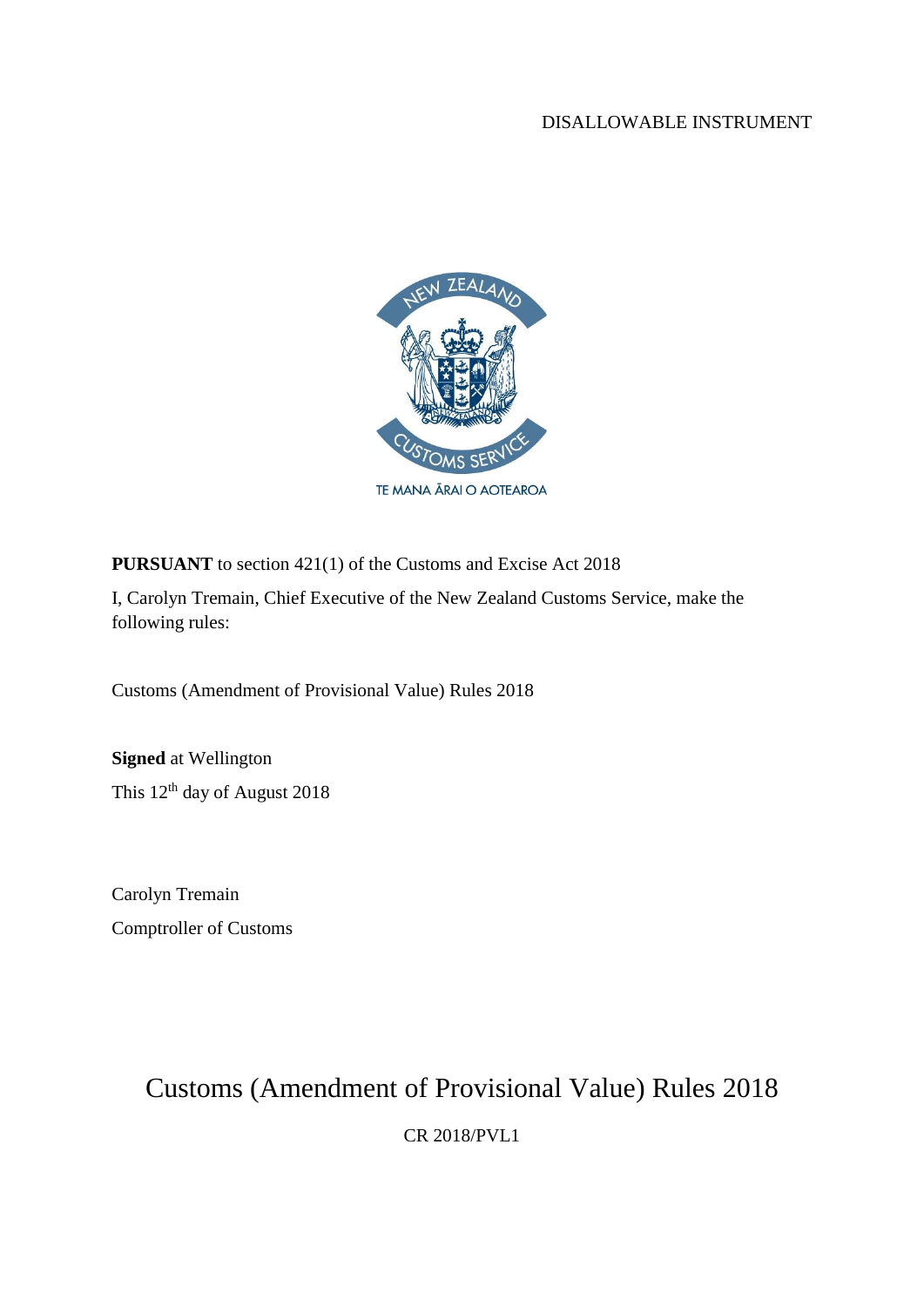#### DISALLOWABLE INSTRUMENT



**PURSUANT** to section 421(1) of the Customs and Excise Act 2018

I, Carolyn Tremain, Chief Executive of the New Zealand Customs Service, make the following rules:

Customs (Amendment of Provisional Value) Rules 2018

**Signed** at Wellington This 12<sup>th</sup> day of August 2018

Carolyn Tremain Comptroller of Customs

# Customs (Amendment of Provisional Value) Rules 2018

CR 2018/PVL1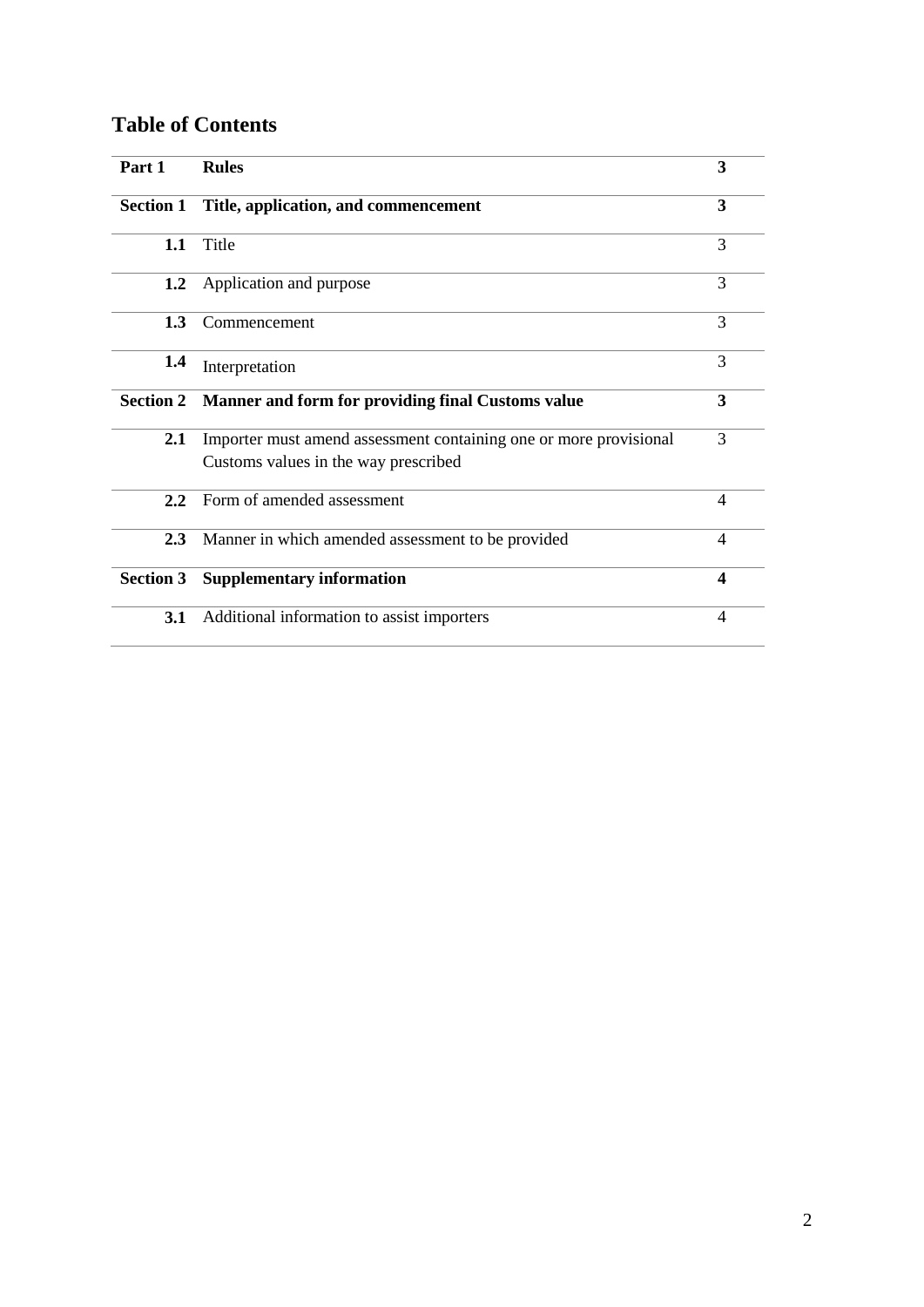### **Table of Contents**

| Part 1           | <b>Rules</b>                                                                                              | 3                        |
|------------------|-----------------------------------------------------------------------------------------------------------|--------------------------|
| <b>Section 1</b> | Title, application, and commencement                                                                      | 3                        |
| 1.1              | Title                                                                                                     | 3                        |
| 1.2              | Application and purpose                                                                                   | 3                        |
| 1.3              | Commencement                                                                                              | 3                        |
| 1.4              | Interpretation                                                                                            | 3                        |
| <b>Section 2</b> | Manner and form for providing final Customs value                                                         | 3                        |
| 2.1              | Importer must amend assessment containing one or more provisional<br>Customs values in the way prescribed | 3                        |
| $2.2^{\circ}$    | Form of amended assessment                                                                                | $\overline{\mathcal{A}}$ |
| 2.3              | Manner in which amended assessment to be provided                                                         | $\overline{\mathcal{A}}$ |
| <b>Section 3</b> | <b>Supplementary information</b>                                                                          | $\boldsymbol{4}$         |
| 3.1              | Additional information to assist importers                                                                | 4                        |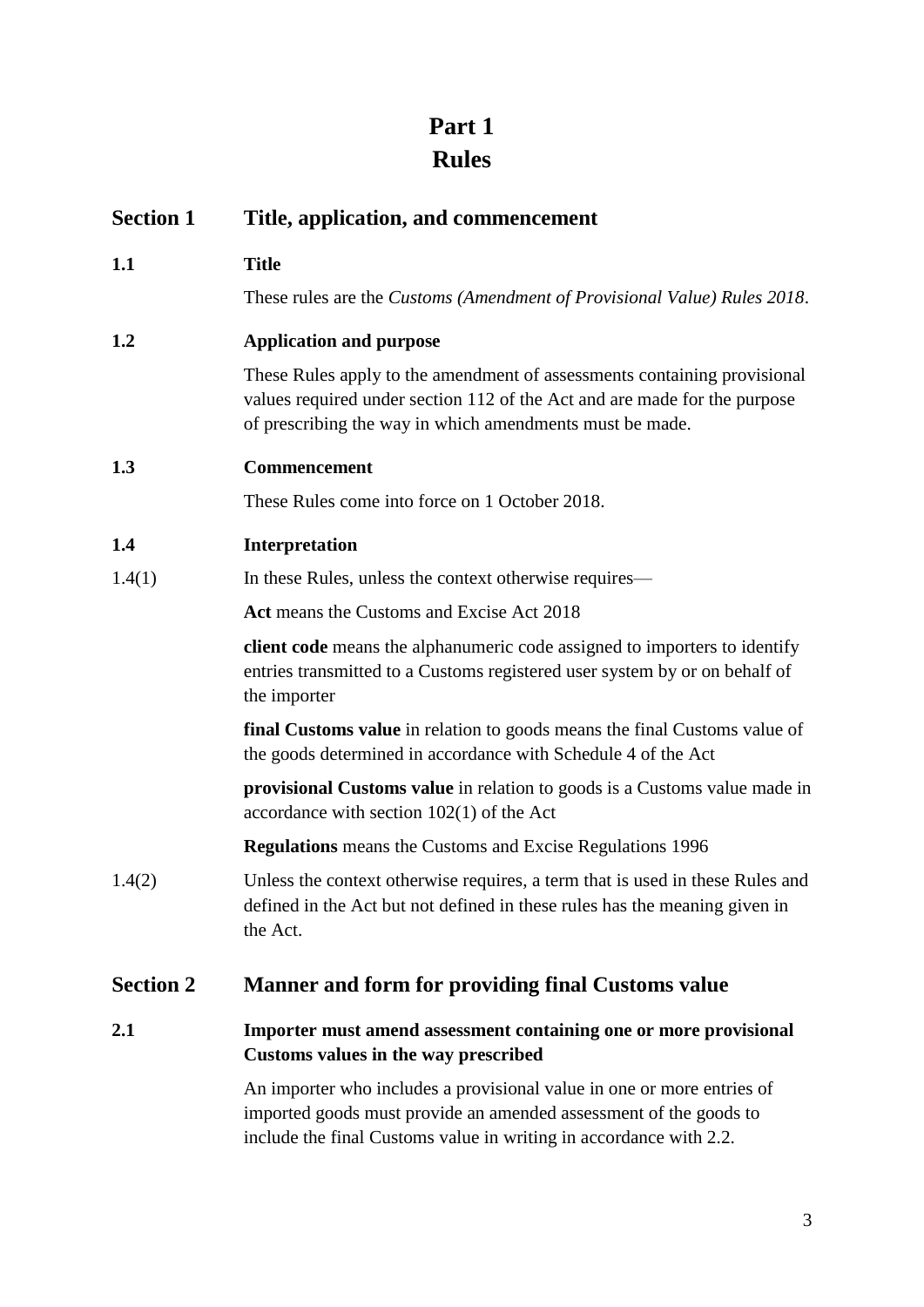## **Part 1 Rules**

| <b>Section 1</b> | Title, application, and commencement                                                                                                                                                                              |
|------------------|-------------------------------------------------------------------------------------------------------------------------------------------------------------------------------------------------------------------|
| 1.1              | <b>Title</b>                                                                                                                                                                                                      |
|                  | These rules are the Customs (Amendment of Provisional Value) Rules 2018.                                                                                                                                          |
| 1.2              | <b>Application and purpose</b>                                                                                                                                                                                    |
|                  | These Rules apply to the amendment of assessments containing provisional<br>values required under section 112 of the Act and are made for the purpose<br>of prescribing the way in which amendments must be made. |
| 1.3              | <b>Commencement</b>                                                                                                                                                                                               |
|                  | These Rules come into force on 1 October 2018.                                                                                                                                                                    |
| 1.4              | Interpretation                                                                                                                                                                                                    |
| 1.4(1)           | In these Rules, unless the context otherwise requires—                                                                                                                                                            |
|                  | Act means the Customs and Excise Act 2018                                                                                                                                                                         |
|                  | client code means the alphanumeric code assigned to importers to identify<br>entries transmitted to a Customs registered user system by or on behalf of<br>the importer                                           |
|                  | <b>final Customs value</b> in relation to goods means the final Customs value of<br>the goods determined in accordance with Schedule 4 of the Act                                                                 |
|                  | provisional Customs value in relation to goods is a Customs value made in<br>accordance with section $102(1)$ of the Act                                                                                          |
|                  | <b>Regulations</b> means the Customs and Excise Regulations 1996                                                                                                                                                  |
| 1.4(2)           | Unless the context otherwise requires, a term that is used in these Rules and<br>defined in the Act but not defined in these rules has the meaning given in<br>the Act.                                           |
| <b>Section 2</b> | Manner and form for providing final Customs value                                                                                                                                                                 |
| 2.1              | Importer must amend assessment containing one or more provisional                                                                                                                                                 |

An importer who includes a provisional value in one or more entries of imported goods must provide an amended assessment of the goods to include the final Customs value in writing in accordance with 2.2.

**Customs values in the way prescribed**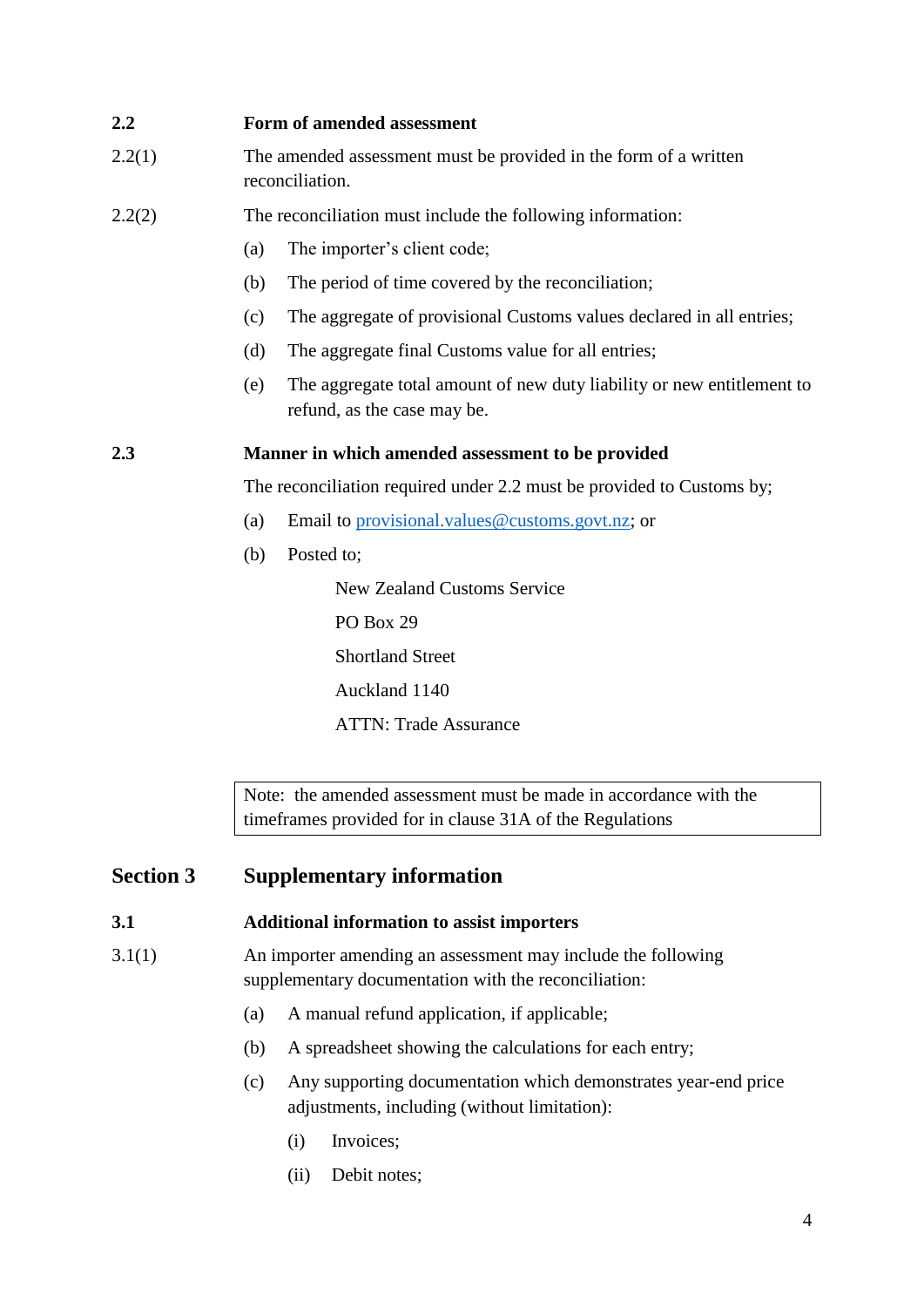#### **2.2 Form of amended assessment**

- 2.2(1) The amended assessment must be provided in the form of a written reconciliation.
- 2.2(2) The reconciliation must include the following information:
	- (a) The importer's client code;
	- (b) The period of time covered by the reconciliation;
	- (c) The aggregate of provisional Customs values declared in all entries;
	- (d) The aggregate final Customs value for all entries;
	- (e) The aggregate total amount of new duty liability or new entitlement to refund, as the case may be.

#### **2.3 Manner in which amended assessment to be provided**

The reconciliation required under 2.2 must be provided to Customs by;

- (a) Email to [provisional.values@customs.govt.nz;](mailto:provisional.values@customs.govt.nz) or
- (b) Posted to;

New Zealand Customs Service PO Box 29 Shortland Street Auckland 1140 ATTN: Trade Assurance

Note: the amended assessment must be made in accordance with the timeframes provided for in clause 31A of the Regulations

#### **Section 3 Supplementary information**

#### **3.1 Additional information to assist importers**

- 3.1(1) An importer amending an assessment may include the following supplementary documentation with the reconciliation:
	- (a) A manual refund application, if applicable;
	- (b) A spreadsheet showing the calculations for each entry;
	- (c) Any supporting documentation which demonstrates year-end price adjustments, including (without limitation):
		- (i) Invoices;
		- (ii) Debit notes;